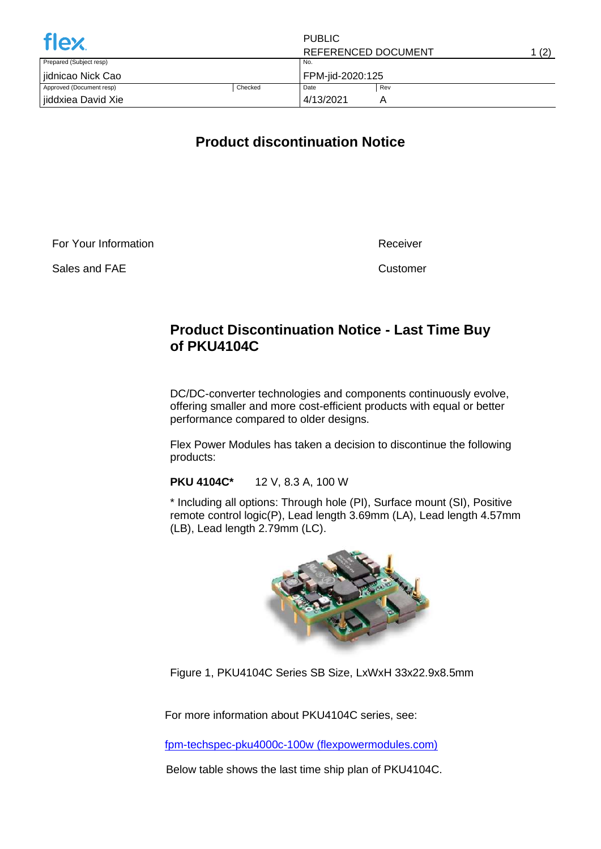| <b>flex</b>              |         | <b>PUBLIC</b>       |     |       |
|--------------------------|---------|---------------------|-----|-------|
|                          |         | REFERENCED DOCUMENT |     | 1 (2) |
| Prepared (Subject resp)  |         | No.                 |     |       |
| jidnicao Nick Cao        |         | FPM-jid-2020:125    |     |       |
| Approved (Document resp) | Checked | Date                | Rev |       |
| jiddxiea David Xie       |         | 4/13/2021           | Α   |       |

## **Product discontinuation Notice**

For Your Information

Sales and FAE

Receiver

Customer

## **Product Discontinuation Notice - Last Time Buy of PKU4104C**

DC/DC-converter technologies and components continuously evolve, offering smaller and more cost-efficient products with equal or better performance compared to older designs.

Flex Power Modules has taken a decision to discontinue the following products:

**PKU 4104C\*** 12 V, 8.3 A, 100 W

\* Including all options: Through hole (PI), Surface mount (SI), Positive remote control logic(P), Lead length 3.69mm (LA), Lead length 4.57mm (LB), Lead length 2.79mm (LC).



Figure 1, PKU4104C Series SB Size, LxWxH 33x22.9x8.5mm

For more information about PKU4104C series, see:

[fpm-techspec-pku4000c-100w \(flexpowermodules.com\)](https://flexpowermodules.com/resources/fpm-techspec-pku4000c-100w)

Below table shows the last time ship plan of PKU4104C.